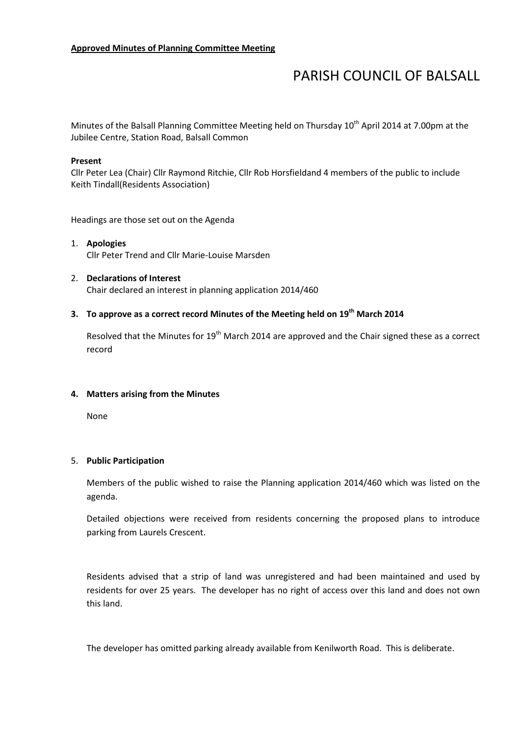# PARISH COUNCIL OF BALSALL

Minutes of the Balsall Planning Committee Meeting held on Thursday  $10<sup>th</sup>$  April 2014 at 7.00pm at the Jubilee Centre, Station Road, Balsall Common

#### Present

Cllr Peter Lea (Chair) Cllr Raymond Ritchie, Cllr Rob Horsfieldand 4 members of the public to include Keith Tindall(Residents Association)

Headings are those set out on the Agenda

- 1. Apologies Cllr Peter Trend and Cllr Marie-Louise Marsden
- 2. Declarations of Interest Chair declared an interest in planning application 2014/460

# 3. To approve as a correct record Minutes of the Meeting held on  $19<sup>th</sup>$  March 2014

Resolved that the Minutes for 19<sup>th</sup> March 2014 are approved and the Chair signed these as a correct record

#### 4. Matters arising from the Minutes

None

#### 5. Public Participation

Members of the public wished to raise the Planning application 2014/460 which was listed on the agenda.

Detailed objections were received from residents concerning the proposed plans to introduce parking from Laurels Crescent.

Residents advised that a strip of land was unregistered and had been maintained and used by residents for over 25 years. The developer has no right of access over this land and does not own this land.

The developer has omitted parking already available from Kenilworth Road. This is deliberate.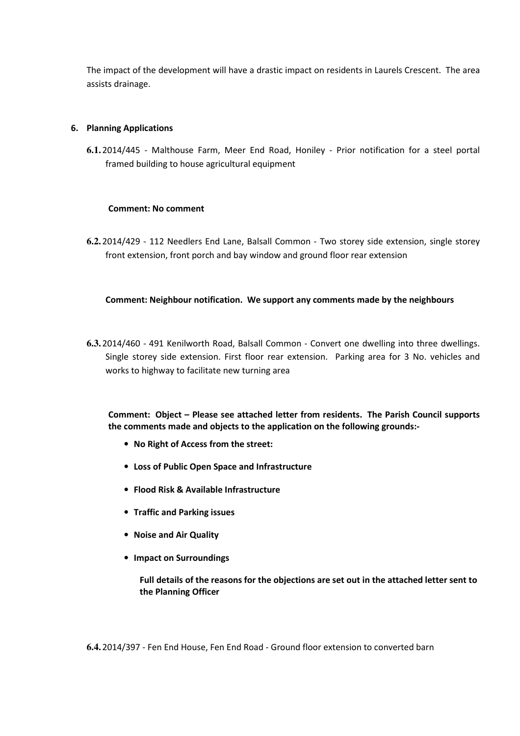The impact of the development will have a drastic impact on residents in Laurels Crescent. The area assists drainage.

## 6. Planning Applications

**6.1.** 2014/445 - Malthouse Farm, Meer End Road, Honiley - Prior notification for a steel portal framed building to house agricultural equipment

## Comment: No comment

**6.2.** 2014/429 - 112 Needlers End Lane, Balsall Common - Two storey side extension, single storey front extension, front porch and bay window and ground floor rear extension

## Comment: Neighbour notification. We support any comments made by the neighbours

**6.3.** 2014/460 - 491 Kenilworth Road, Balsall Common - Convert one dwelling into three dwellings. Single storey side extension. First floor rear extension. Parking area for 3 No. vehicles and works to highway to facilitate new turning area

Comment: Object – Please see attached letter from residents. The Parish Council supports the comments made and objects to the application on the following grounds:-

- No Right of Access from the street:
- Loss of Public Open Space and Infrastructure
- Flood Risk & Available Infrastructure
- Traffic and Parking issues
- Noise and Air Quality
- Impact on Surroundings

Full details of the reasons for the objections are set out in the attached letter sent to the Planning Officer

**6.4.** 2014/397 - Fen End House, Fen End Road - Ground floor extension to converted barn